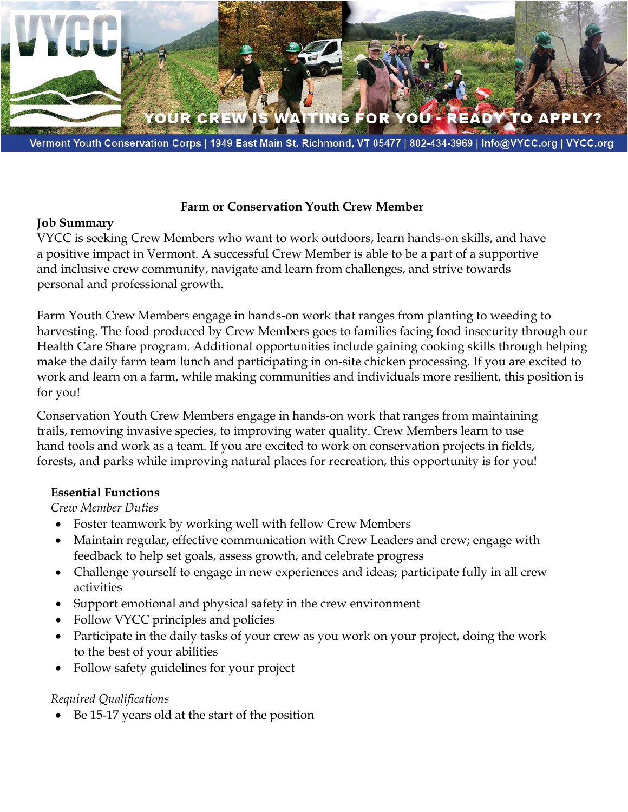

#### **Farm or Conservation Youth Crew Member**

### **Job Summary**

VYCC is seeking Crew Members who want to work outdoors, learn hands-on skills, and have a positive impact in Vermont. A successful Crew Member is able to be a part of a supportive and inclusive crew community, navigate and learn from challenges, and strive towards personal and professional growth.

Farm Youth Crew Members engage in hands-on work that ranges from planting to weeding to harvesting. The food produced by Crew Members goes to families facing food insecurity through our Health Care Share program. Additional opportunities include gaining cooking skills through helping make the daily farm team lunch and participating in on-site chicken processing. If you are excited to work and learn on a farm, while making communities and individuals more resilient, this position is for you!

Conservation Youth Crew Members engage in hands-on work that ranges from maintaining trails, removing invasive species, to improving water quality. Crew Members learn to use hand tools and work as a team. If you are excited to work on conservation projects in fields, forests, and parks while improving natural places for recreation, this opportunity is for you!

## **Essential Functions**

*Crew Member Duties* 

- Foster teamwork by working well with fellow Crew Members
- Maintain regular, effective communication with Crew Leaders and crew; engage with feedback to help set goals, assess growth, and celebrate progress
- Challenge yourself to engage in new experiences and ideas; participate fully in all crew activities
- Support emotional and physical safety in the crew environment
- Follow VYCC principles and policies
- Participate in the daily tasks of your crew as you work on your project, doing the work to the best of your abilities
- Follow safety guidelines for your project

# *Required Qualifications*

• Be 15-17 years old at the start of the position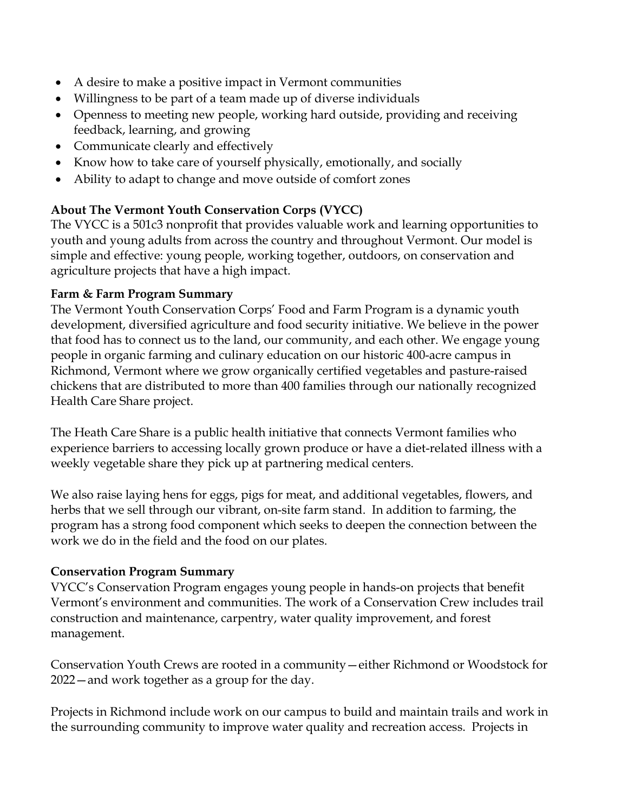- A desire to make a positive impact in Vermont communities
- Willingness to be part of a team made up of diverse individuals
- Openness to meeting new people, working hard outside, providing and receiving feedback, learning, and growing
- Communicate clearly and effectively
- Know how to take care of yourself physically, emotionally, and socially
- Ability to adapt to change and move outside of comfort zones

# **About The Vermont Youth Conservation Corps (VYCC)**

The VYCC is a 501c3 nonprofit that provides valuable work and learning opportunities to youth and young adults from across the country and throughout Vermont. Our model is simple and effective: young people, working together, outdoors, on conservation and agriculture projects that have a high impact.

### **Farm & Farm Program Summary**

The Vermont Youth Conservation Corps' Food and Farm Program is a dynamic youth development, diversified agriculture and food security initiative. We believe in the power that food has to connect us to the land, our community, and each other. We engage young people in organic farming and culinary education on our historic 400-acre campus in Richmond, Vermont where we grow organically certified vegetables and pasture-raised chickens that are distributed to more than 400 families through our nationally recognized Health Care Share project.

The Heath Care Share is a public health initiative that connects Vermont families who experience barriers to accessing locally grown produce or have a diet-related illness with a weekly vegetable share they pick up at partnering medical centers.

We also raise laying hens for eggs, pigs for meat, and additional vegetables, flowers, and herbs that we sell through our vibrant, on-site farm stand. In addition to farming, the program has a strong food component which seeks to deepen the connection between the work we do in the field and the food on our plates.

## **Conservation Program Summary**

VYCC's Conservation Program engages young people in hands-on projects that benefit Vermont's environment and communities. The work of a Conservation Crew includes trail construction and maintenance, carpentry, water quality improvement, and forest management.

Conservation Youth Crews are rooted in a community—either Richmond or Woodstock for 2022—and work together as a group for the day.

Projects in Richmond include work on our campus to build and maintain trails and work in the surrounding community to improve water quality and recreation access. Projects in